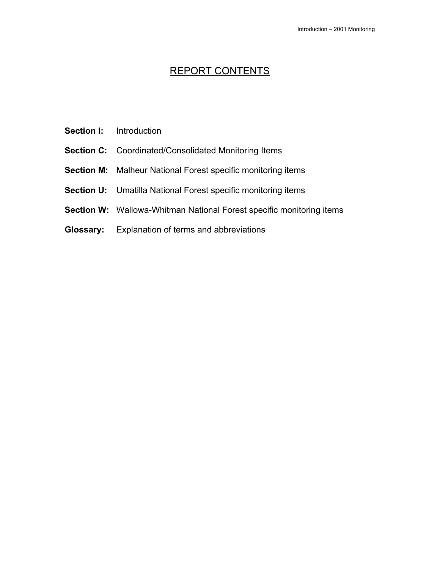# REPORT CONTENTS

- **Section I:** Introduction
- **Section C:** Coordinated/Consolidated Monitoring Items
- **Section M:** Malheur National Forest specific monitoring items
- **Section U:** Umatilla National Forest specific monitoring items
- **Section W:** Wallowa-Whitman National Forest specific monitoring items
- **Glossary:** Explanation of terms and abbreviations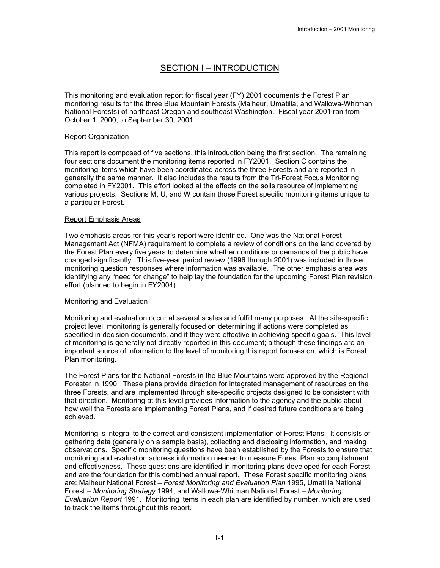# SECTION I – INTRODUCTION

This monitoring and evaluation report for fiscal year (FY) 2001 documents the Forest Plan monitoring results for the three Blue Mountain Forests (Malheur, Umatilla, and Wallowa-Whitman National Forests) of northeast Oregon and southeast Washington. Fiscal year 2001 ran from October 1, 2000, to September 30, 2001.

## Report Organization

This report is composed of five sections, this introduction being the first section. The remaining four sections document the monitoring items reported in FY2001. Section C contains the monitoring items which have been coordinated across the three Forests and are reported in generally the same manner. It also includes the results from the Tri-Forest Focus Monitoring completed in FY2001. This effort looked at the effects on the soils resource of implementing various projects. Sections M, U, and W contain those Forest specific monitoring items unique to a particular Forest.

### Report Emphasis Areas

Two emphasis areas for this year's report were identified. One was the National Forest Management Act (NFMA) requirement to complete a review of conditions on the land covered by the Forest Plan every five years to determine whether conditions or demands of the public have changed significantly. This five-year period review (1996 through 2001) was included in those monitoring question responses where information was available. The other emphasis area was identifying any "need for change" to help lay the foundation for the upcoming Forest Plan revision effort (planned to begin in FY2004).

#### Monitoring and Evaluation

Monitoring and evaluation occur at several scales and fulfill many purposes. At the site-specific project level, monitoring is generally focused on determining if actions were completed as specified in decision documents, and if they were effective in achieving specific goals. This level of monitoring is generally not directly reported in this document; although these findings are an important source of information to the level of monitoring this report focuses on, which is Forest Plan monitoring.

The Forest Plans for the National Forests in the Blue Mountains were approved by the Regional Forester in 1990. These plans provide direction for integrated management of resources on the three Forests, and are implemented through site-specific projects designed to be consistent with that direction. Monitoring at this level provides information to the agency and the public about how well the Forests are implementing Forest Plans, and if desired future conditions are being achieved.

Monitoring is integral to the correct and consistent implementation of Forest Plans. It consists of gathering data (generally on a sample basis), collecting and disclosing information, and making observations. Specific monitoring questions have been established by the Forests to ensure that monitoring and evaluation address information needed to measure Forest Plan accomplishment and effectiveness. These questions are identified in monitoring plans developed for each Forest, and are the foundation for this combined annual report. These Forest specific monitoring plans are: Malheur National Forest – *Forest Monitoring and Evaluation Plan* 1995, Umatilla National Forest *– Monitoring Strategy* 1994, and Wallowa-Whitman National Forest – *Monitoring Evaluation Report* 1991. Monitoring items in each plan are identified by number, which are used to track the items throughout this report.